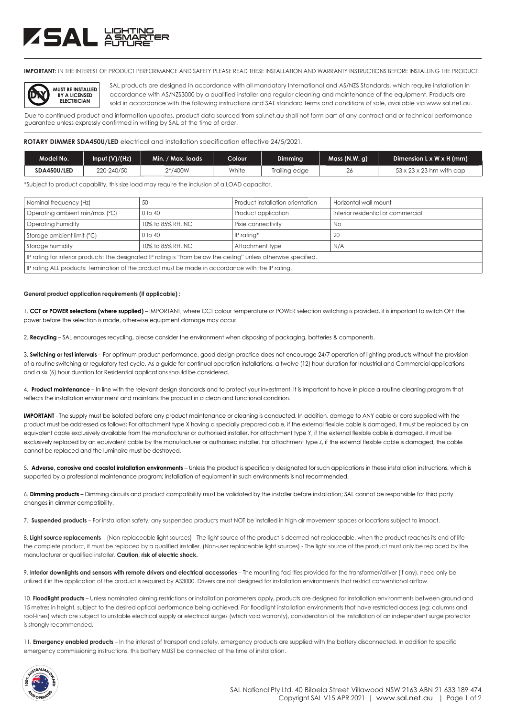# ZSAL XSMS

**IMPORTANT:** IN THE INTEREST OF PRODUCT PERFORMANCE AND SAFETY PLEASE READ THESE INSTALLATION AND WARRANTY INSTRUCTIONS BEFORE INSTALLING THE PRODUCT.



SAL products are designed in accordance with all mandatory International and AS/NZS Standards, which require installation in accordance with AS/NZS3000 by a qualified installer and regular cleaning and maintenance of the equipment. Products are sold in accordance with the following instructions and SAL standard terms and conditions of sale, available via www.sal.net.au.

Due to continued product and information updates, product data sourced from sal.net.au shall not form part of any contract and or technical performance guarantee unless expressly confirmed in writing by SAL at the time of order.

# **ROTARY DIMMER SDA450U/LED** electrical and installation specification effective 24/5/2021.

| Model No.   | Input (V)/(Hz) | Min. / Max. loads . | Colour | Dimming       | Mass(N.W, a) | Dimension $L \times W \times H$ (mm) |
|-------------|----------------|---------------------|--------|---------------|--------------|--------------------------------------|
| SDA450U/LED | 220-240/50     | 2*/400W             | White  | Trailing edge | 26           | $53 \times 23 \times 23$ hm with cap |

\*Subject to product capability, this size load may require the inclusion of a LOAD capacitor.

| Nominal frequency (Hz)                                                                                            | 50                | Product installation orientation | Horizontal wall mount              |  |  |
|-------------------------------------------------------------------------------------------------------------------|-------------------|----------------------------------|------------------------------------|--|--|
| Operating ambient min/max (°C)                                                                                    | 0 to 40           | Product application              | Interior residential or commercial |  |  |
| Operating humidity                                                                                                | 10% to 85% RH, NC | Pixie connectivity               | No                                 |  |  |
| Storage ambient limit (°C)                                                                                        | $0$ to $40$       | IP ratina*                       | 20                                 |  |  |
| Storage humidity                                                                                                  | 10% to 85% RH, NC | Attachment type                  | N/A                                |  |  |
| IP rating for interior products: The designated IP rating is "from below the ceiling" unless otherwise specified. |                   |                                  |                                    |  |  |
| IP rating ALL products: Termination of the product must be made in accordance with the IP rating.                 |                   |                                  |                                    |  |  |

### **General product application requirements (if applicable) :**

1. **CCT or POWER selections (where supplied)** – IMPORTANT, where CCT colour temperature or POWER selection switching is provided, it is important to switch OFF the power before the selection is made, otherwise equipment damage may occur.

2. **Recycling** – SAL encourages recycling, please consider the environment when disposing of packaging, batteries & components.

3. **Switching or test intervals** – For optimum product performance, good design practice does not encourage 24/7 operation of lighting products without the provision of a routine switching or regulatory test cycle. As a guide for continual operation installations, a twelve (12) hour duration for Industrial and Commercial applications and a six (6) hour duration for Residential applications should be considered.

4. **Product maintenance** – In line with the relevant design standards and to protect your investment, it is important to have in place a routine cleaning program that reflects the installation environment and maintains the product in a clean and functional condition.

**IMPORTANT** - The supply must be isolated before any product maintenance or cleaning is conducted. In addition, damage to ANY cable or cord supplied with the product must be addressed as follows; For attachment type X having a specially prepared cable, if the external flexible cable is damaged, it must be replaced by an equivalent cable exclusively available from the manufacturer or authorised installer. For attachment type Y, if the external flexible cable is damaged, it must be exclusively replaced by an equivalent cable by the manufacturer or authorised installer. For attachment type Z, if the external flexible cable is damaged, the cable cannot be replaced and the luminaire must be destroyed.

5. **Adverse, corrosive and coastal installation environments** – Unless the product is specifically designated for such applications in these installation instructions, which is supported by a professional maintenance program; installation of equipment in such environments is not recommended.

6. **Dimming products** – Dimming circuits and product compatibility must be validated by the installer before installation; SAL cannot be responsible for third party changes in dimmer compatibility.

7. **Suspended products** – For installation safety, any suspended products must NOT be installed in high air movement spaces or locations subject to impact.

8. Light source replacements – (Non-replaceable light sources) - The light source of the product is deemed not replaceable, when the product reaches its end of life the complete product, it must be replaced by a qualified installer. (Non-user replaceable light sources) - The light source of the product must only be replaced by the manufacturer or qualified installer. **Caution, risk of electric shock.** 

9. I**nterior downlights and sensors with remote drivers and electrical accessories** – The mounting facilities provided for the transformer/driver (if any), need only be utilized if in the application of the product is required by AS3000. Drivers are not designed for installation environments that restrict conventional airflow.

10. **Floodlight products** – Unless nominated aiming restrictions or installation parameters apply, products are designed for installation environments between ground and 15 metres in height, subject to the desired optical performance being achieved. For floodlight installation environments that have restricted access (eg: columns and roof-lines) which are subject to unstable electrical supply or electrical surges (which void warranty), consideration of the installation of an independent surge protector is strongly recommended.

11. **Emergency enabled products** – In the interest of transport and safety, emergency products are supplied with the battery disconnected. In addition to specific emergency commissioning instructions, this battery MUST be connected at the time of installation.